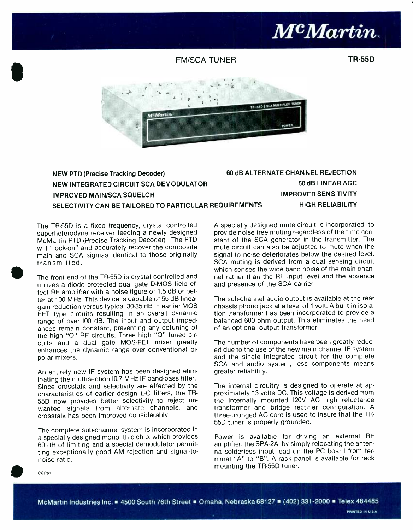

50 dB LINEAR AGC IMPROVED SENSITIVITY

#### FM /SCA TUNER

TR-55D



#### NEW PTD (Precise Tracking Decoder) NEW INTEGRATED CIRCUIT SCA DEMODULATOR **IMPROVED MAIN/SCA SQUELCH** SELECTIVITY CAN BE TAILORED TO PARTICULAR REQUIREMENTS 60 dB ALTERNATE CHANNEL REJECTION

The TR-55D is a fixed frequency, crystal controlled superheterodyne receiver feeding a newly designed McMartin PTD (Precise Tracking Decoder). The PTD will "lock-on" and accurately recover the composite main and SCA signlas identical to those originally transmitted.

The front end of the TR-55D is crystal controlled and utilizes a diode protected dual gate D-MOS field effect RF amplifier with a noise figure of 1.5 dB or better at 100 MHz. This device is capable of 55 dB linear gain reduction versus typical 30-35 dB in earlier MOS FET type circuits resulting in an overall dynamic range of over 100 dB. The input and output impedances remain constant, preventing any detuning of the high "Q" RF circuits. Three high "Q" tuned circuits and a dual gate MOS-FET mixer greatly enhances the dynamic range over conventional bipolar mixers.

An entirely new IF system has been designed eliminating the multisection I0.7 MHz IF band-pass filter. Since crosstalk and selectivity are effected by the characteristics of earlier design L-C filters, the TR-55D now provides better selectivity to reject unwanted signals from alternate channels, and crosstalk has been improved considerably.

The complete sub-channel system is incorporated in a specially designed monolithic chip, which provides 60 dB of limiting and a special demodulator permitting exceptionally good AM rejection and signal-tonoise ratio.

HIGH RELIABILITY A specially designed mute circuit is incorporated to provide noise free muting regardless of the time constant of the SCA generator in the transmitter. The mute circuit can also be adjusted to mute when the signal to noise deteriorates below the desired level. SCA muting is derived from a dual sensing circuit which senses the wide band noise of the main channel rather than the RF input level and the absence

The sub-channel audio output is available at the rear chassis phono jack at a level of 1 volt. A built-in isolation transformer has been incorporated to provide a balanced 600 ohm output. This eliminates the need of an optional output transformer

and presence of the SCA carrier.

The number of components have been greatly reduced due to the use of the new main channel IF system and the single integrated circuit for the complete SCA and audio system; less components means greater reliability.

The internal circuitry is designed to operate at approximately 13 volts DC. This voltage is derived from the internally mounted 120V AC high reluctance transformer and bridge rectifier configuration. A three -pronged AC cord is used to insure that the TR-55D tuner is properly grounded.

Power is available for driving an external RF amplifier, the SPA-2A, by simply relocating the antenna solderless input lead on the PC board from terminal "A" to "B". A rack panel is available for rack mounting the TR -55D tuner.

OCTI81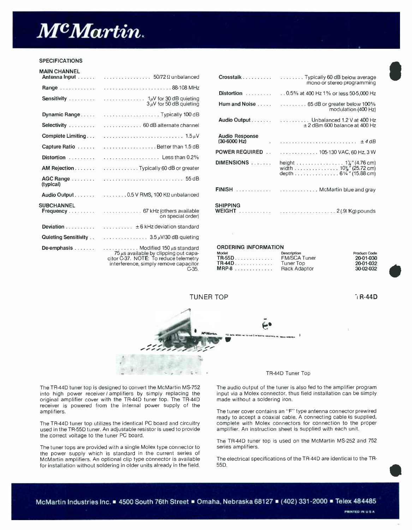

#### **SPECIFICATIONS**

| <b>MAIN CHANNEL</b> |                                                                                                                                          | Crosstalk                                                               |
|---------------------|------------------------------------------------------------------------------------------------------------------------------------------|-------------------------------------------------------------------------|
|                     |                                                                                                                                          | Distortion                                                              |
|                     |                                                                                                                                          | Hum and Noise                                                           |
|                     |                                                                                                                                          | Audio Output                                                            |
|                     |                                                                                                                                          |                                                                         |
|                     |                                                                                                                                          | <b>Audio Response</b><br>$(30-6000 \text{ Hz})$                         |
|                     |                                                                                                                                          | $\sim$<br><b>POWER REQUIRED</b>                                         |
|                     | Distortion   Less than 0.2%                                                                                                              | DIMENSIONS                                                              |
|                     |                                                                                                                                          |                                                                         |
| (typical)           |                                                                                                                                          |                                                                         |
|                     | Audio Output $\ldots \ldots$ $\ldots \ldots \ldots \ldots$ 0.5 V RMS, 100 K $\Omega$ unbalanced                                          | $FINISH$                                                                |
| <b>SUBCHANNEL</b>   | on special order)                                                                                                                        | <b>SHIPPING</b><br><b>WEIGHT</b>                                        |
|                     |                                                                                                                                          |                                                                         |
|                     | Quieting Sensitivity 3.5 $\mu$ V/30 dB quieting                                                                                          |                                                                         |
|                     | $75 \mu s$ available by clipping out capa-<br>citor C-37. NOTE: To reduce telemetry<br>interference, simply remove capacitor<br>$C-35$ . | <b>ORDERING INFORMAT</b><br>Model<br><b>TR-55D</b><br>$TR-44D$<br>MRP-8 |

|                   |                                                          |                                         | mono or stereo programming                                                             |
|-------------------|----------------------------------------------------------|-----------------------------------------|----------------------------------------------------------------------------------------|
|                   |                                                          |                                         | <b>Distortion</b> 0.5% at 400 Hz 1% or less 50-5,000 Hz                                |
|                   | $3 \mu V$ for 50 dB quieting                             |                                         | Hum and Noise $\ldots$ $\ldots$ $\ldots$ $\ldots$ $\ldots$ 65 dB or greater below 100% |
|                   |                                                          |                                         | modulation (400 Hz)                                                                    |
|                   |                                                          |                                         | Audio Output Unbalanced 1.2 V at 400 Hz<br>$\pm$ 2 dBm 600 balance at 400 Hz           |
| Complete Limiting |                                                          | <b>Audio Response</b><br>$(30-6000 Hz)$ |                                                                                        |
|                   |                                                          |                                         |                                                                                        |
|                   | Distortion   Less than 0.2%                              | <b>POWER REQUIRED</b>                   | . 105-130 VAC, 60 Hz, 3 W                                                              |
|                   |                                                          | DIMENSIONS                              | width 10 <sup>%</sup> (25.72 cm)<br>depth 61/4" (15.88 cm)                             |
| (typical)         |                                                          |                                         |                                                                                        |
|                   | <b>Audio Output</b> 0.5 V RMS, 100 K $\Omega$ unbalanced |                                         | FINISH   McMartin blue and gray                                                        |
| <b>UBCHANNEL</b>  | Frequency   67 kHz (others available<br>an anonial arder | <b>SHIPPING</b>                         |                                                                                        |

#### ORDERING INFORMATION

| $75 \mu s$ available by clipping out capa-     | Model    | Description  | <b>Product Code</b> |
|------------------------------------------------|----------|--------------|---------------------|
| citor C-37. NOT <b>E</b> : To reduce telemetry |          | FM/SCA Tuner | 20-01-030           |
| interference, simply remove capacitor          | $TR-44D$ | Tuner Top    | 20-01-032           |
| $C-35.$                                        |          | Rack Adaptor | 30-02-032           |



<sup>I</sup>R-44D



The TR-44D tuner top is designed to convert the McMartin MS-752 into high power receiver / amplifiers by simply replacing the original amplifier cover with the TR -44D tuner top. The TR -44D receiver is powered from the internal power supply of the amplifiers.

The TR-44D tuner top utilizes the identical PC board and circuitry used in the TR -55D tuner. An adjustable resistor is used to provide the correct voltage to the tuner PC board.

The tuner tops are provided with a single Molex type connector to the power supply which is standard in the current series of McMartin amplifiers. An optional clip type connector is available for installation without soldering in older units already in the field.

#### TR -44D Tuner Top

The audio output of the tuner is also fed to the amplifier program input via a Molex connector, thus field installation can be simply made without a soldering iron.

The tuner cover contains an "F" type antenna connector prewired ready to accept a coaxial cable. A connecting cable is supplied, complete with Molex connectors for connection to the proper amplifier. An instruction sheet is supplied with each unit.

The TR-44D tuner top is used on the McMartin MS-252 and 752 series amplifiers.

The electrical specifications of the TR -44D are identical to the TR-55D.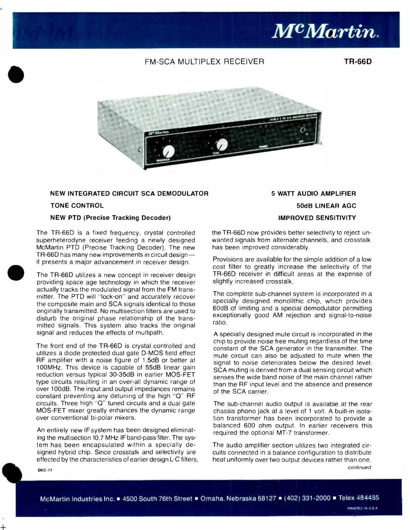

#### FM -SCA MULTIPLEX RECEIVER

TR-66D



#### NEW INTEGRATED CIRCUIT SCA DEMODULATOR

#### TONE CONTROL

#### NEW PTD (Precise Tracking Decoder)

The TR-66D is a fixed frequency, crystal controlled superheterodyne receiver feeding a newly designed McMartin PTD (Precise Tracking Decoder). The new has been im<br>TR-66D has many new improvements in circuit design — Provisions a it presents a major advancement in receiver design.

The TR-66D utilizes a new concept in receiver design providing space age technology in which the receiver actually tracks the modulated signal from the FM transmitter. The PTD will "lock -on" and accurately recover the composite main and SCA signals identical to those originally transmitted. No multisection filters are used to disturb the original phase relationship of the transmitted signals. This system also tracks the original signal and reduces the effects of multipath.

The front end of the TR-66D is crystal controlled and utilizes a diode protected dual gate D-MOS field effect RF amplifier with a noise figure of 1.5dB or better at 100MHz. This device is capable of 55dB linear gain reduction versus typical 30 -35dB in earlier MOS -FET type circuits resulting in an over -all dynamic range of over 100dB. The input and output impedances remains constant preventing any detuning of the high "Q" RF circuits. Three high "Q" tuned circuits and a dual gate MOS -FET mixer greatly enhances the dynamic range over conventional bi -polar mixers.

An entirely new IF system has been designed eliminating the multisection 10.7 MHz IF band -pass filter. The system has been encapsulated within a specially designed hybrid chip. Since crosstalk and selectivity are effected by the characteristics of earlier design L-C filters,

## 5 WATT AUDIO AMPLIFIER 50dB LINEAR AGC IMPROVED SENSITIVITY

the TR -66D now provides better selectivity to reject unwanted signals from alternate channels, and crosstalk has been improved considerably.

Provisions are available for the simple addition of a low cost filter to greatly increase the selectivity of the TR -66D receiver in difficult areas at the expense of slightly increased crosstalk.

The complete sub-channel system is incorporated in a specially designed monolithic chip, which provides 60dB of limiting and a special demodulator permitting exceptionally good AM rejection and signal-to-noise ratio.

A specially designed mute circuit is incorporated in the chip to provide noise free muting regardless of the time constant of the SCA generator in the transmitter. The mute circuit can also be adjusted to mute when the signal to noise deteriorates below the desired level. SCA muting is derived from a dual sensing circuit which senses the wide band noise of the main channel rather than the RF input level and the absence and presence of the SCA carrier.

The sub-channel audio output is available at the rear chassis phono jack at a level of 1 volt. A built-in isolation transformer has been incorporated to provide a balanced 600 ohm output. In earlier receivers this required the optional MT -7 transformer.

The audio amplifier section utilizes two integrated circuits connected in a balance configuration to distribute heat uniformly over two output devices rather than one. continued

DEC<sub>/77</sub>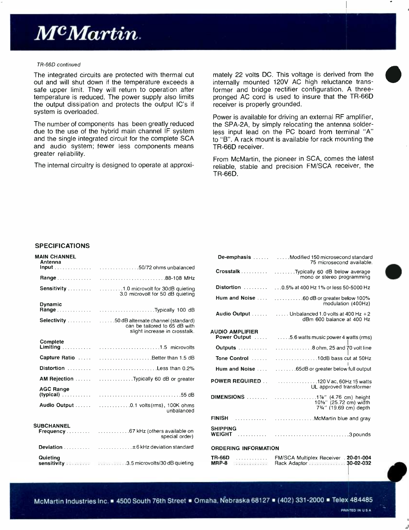# McMartin.

#### TR -66D continued

The integrated circuits are protected with thermal cut out and will shut down if the temperature exceeds a safe upper limit. They will return to operation after temperature is reduced. The power supply also limits the output dissipation and protects the output IC's if system is overloaded.

The number of components has been greatly reduced due to the use of the hybrid main channel IF system and the single integrated circuit for the complete SCA and audio system; fewer less components means greater reliability.

The internal circuitry is designed to operate at approxi-

mately 22 volts DC. This voltage is derived from the internally mounted 120V AC high reluctance transformer and bridge rectifier configuration. A threepronged AC cord is used to insure that the TR -66D receiver is properly grounded.

Power is available for driving an external RF amplifier, the SPA-2A, by simply relocating the antenna solderless input lead on the PC board from terminal "A" to "B". A rack mount is available for rack mounting the TR-66D receiver.

From McMartin, the pioneer in SCA, comes the latest reliable, stable and precision FM/SCA receiver, the TR -66D.

#### **SPECIFICATIONS**

| <b>MAIN CHANNEL</b><br>Antenna |                                                                                 |                                           |                                                                               |
|--------------------------------|---------------------------------------------------------------------------------|-------------------------------------------|-------------------------------------------------------------------------------|
|                                |                                                                                 | Crosstalk                                 |                                                                               |
|                                |                                                                                 |                                           |                                                                               |
|                                |                                                                                 |                                           |                                                                               |
|                                | 3.0 microvolt for 50 dB quieting                                                | Hum and Noise                             |                                                                               |
| <b>Dynamic</b>                 |                                                                                 |                                           |                                                                               |
|                                |                                                                                 | Audio Output U                            |                                                                               |
|                                | Selectivity 50 dB alternate channel (standard)<br>can be tailored to 65 dB with |                                           |                                                                               |
|                                | slight increase in crosstalk.                                                   | <b>AUDIO AMPLIFIER</b><br>Power Output  5 |                                                                               |
| <b>Complete</b>                |                                                                                 |                                           |                                                                               |
|                                |                                                                                 | <b>Outputs</b>                            | $\frac{1}{2}$ , $\frac{1}{2}$ , $\frac{1}{2}$ , $\frac{1}{2}$ , $\frac{1}{2}$ |
|                                | <b>Capture Ratio</b> Better than 1.5 dB                                         | Tone Control                              | $\overline{1}$                                                                |
|                                | Distortion  Less than 0.2%                                                      | Hum and Noise                             |                                                                               |
|                                | <b>AM Rejection</b> Typically 60 dB or greater                                  | <b>POWER REQUIRED</b>                     |                                                                               |
| <b>AGC Range</b>               |                                                                                 |                                           |                                                                               |
|                                |                                                                                 | DIMENSIONS                                |                                                                               |
|                                | unbalanced                                                                      |                                           |                                                                               |
|                                |                                                                                 | <b>FINISH</b>                             |                                                                               |
| <b>SUBCHANNEL</b>              |                                                                                 |                                           |                                                                               |
|                                | special order)                                                                  | <b>SHIPPING</b><br><b>WEIGHT</b>          |                                                                               |
|                                |                                                                                 | <b>ORDERING INFORMATION</b>               |                                                                               |
| Quieting                       |                                                                                 | <b>TR-66D</b> FM/SC/                      |                                                                               |
|                                | sensitivity 3.5 microvolts/30 dB quieting                                       | MRP-8 Rack A                              |                                                                               |

| <b>AIN CHANNEL</b><br>Antenna |                                                                                  |                             | <b>De-emphasis</b> Modified 150 microsecond standard<br>75 microsecond available. |
|-------------------------------|----------------------------------------------------------------------------------|-----------------------------|-----------------------------------------------------------------------------------|
|                               |                                                                                  |                             | Crosstalk  Typically 60 dB below average                                          |
|                               |                                                                                  |                             | mono or stereo programming                                                        |
|                               | Sensitivity  1.0 microvolt for 30dB quieting<br>3.0 microvolt for 50 dB quieting |                             | Distortion   0.5% at 400 Hz 1% or less 50-5000 Hz                                 |
| <b>Dynamic</b>                |                                                                                  |                             | modulation (400Hz)                                                                |
|                               | Range Typically 100 dB                                                           |                             | <b>Audio Output</b> $\ldots$ Unbalanced 1.0 volts at 400 Hz +2                    |
|                               | Selectivity 50dB alternate channel (standard)<br>can be tailored to 65 dB with   |                             | dBm 600 balance at 400 Hz                                                         |
|                               | slight increase in crosstalk.                                                    | <b>AUDIO AMPLIFIER</b>      | <b>Power Output</b> 5.6 watts music power 4 watts (rms)                           |
| <b>Complete</b>               |                                                                                  |                             |                                                                                   |
|                               | Capture Ratio  Better than 1.5 dB                                                |                             |                                                                                   |
|                               | Distortion  Less than 0.2%                                                       |                             |                                                                                   |
|                               | AM Rejection  Typically 60 dB or greater                                         |                             | POWER REQUIRED  120 Vac, 60Hz 15 watts<br>UL approved transformer                 |
| <b>AGC Range</b>              |                                                                                  |                             |                                                                                   |
|                               | unbalanced                                                                       |                             | 10%" (25.72 cm) width<br>734" (19.69 cm) depth                                    |
|                               |                                                                                  |                             |                                                                                   |
| <b>JBCHANNEL</b>              | special order)                                                                   | <b>SHIPPING</b>             |                                                                                   |
|                               |                                                                                  | <b>ORDERING INFORMATION</b> |                                                                                   |
| Quietina                      |                                                                                  | $TR-66D$<br>$MRP-8$         | FM/SCA Multiplex Receiver . 20-01-004                                             |

ليد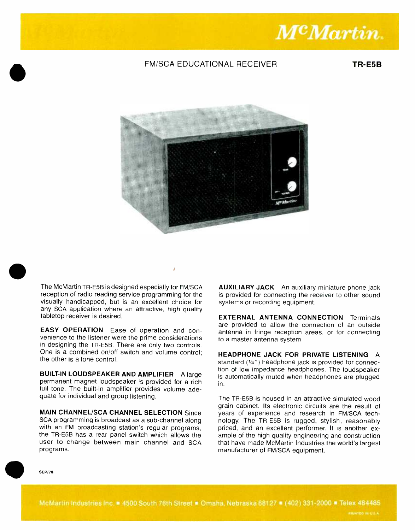

#### FM/SCA EDUCATIONAL RECEIVER TR-E5B



The McMartin TR-E5B is designed especially for FM/SCA reception of radio reading service programming for the visually handicapped, but is an excellent choice for any SCA application where an attractive, high quality tabletop receiver is desired.

EASY OPERATION Ease of operation and convenience to the listener were the prime considerations in designing the TR -E5B. There are only two controls. One is a combined on/off switch and volume control: the other is a tone control.

BUILT-IN LOUDSPEAKER AND AMPLIFIER A large permanent magnet loudspeaker is provided for a rich full tone. The built-in amplifier provides volume adequate for individual and group listening.

**MAIN CHANNEL/SCA CHANNEL SELECTION Since** SCA programming is broadcast as a sub -channel along with an FM broadcasting station's regular programs. the TR -E5B has a rear panel switch which allows the user to change between main channel and SCA programs.

AUXILIARY JACK An auxiliary miniature phone jack is provided for connecting the receiver to other sound systems or recording equipment.

EXTERNAL ANTENNA CONNECTION Terminals are provided to allow the connection of an outside antenna in fringe reception areas, or for connecting to a master antenna system.

HEADPHONE JACK FOR PRIVATE LISTENING A standard  $(1/4)$  headphone jack is provided for connection of low impedance headphones. The loudspeaker is automatically muted when headphones are plugged in.

The TR-E5B is housed in an attractive simulated wood grain cabinet. Its electronic circuits are the result of years of experience and research in FM/SCA technology. The TR-E5B is rugged, stylish, reasonably priced, and an excellent performer. It is another example of the high quality engineering and construction that have made McMartin Industries the world's largest manufacturer of FM/SCA equipment.

SEP /78

McMartin Industries Inc. 4500 South 76th Street . Omaha, Nebraska 68127 . (402) 331-2000 Telex 484485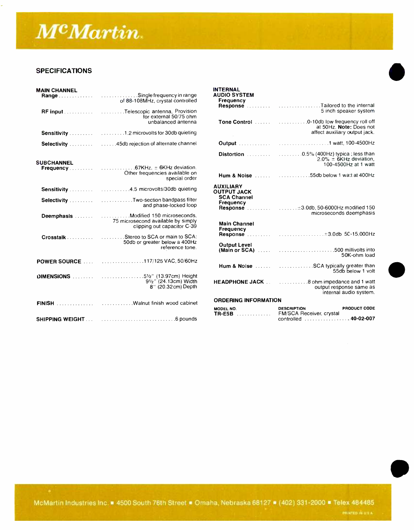

#### **SPECIFICATIONS**

| <b>MAIN CHANNEL</b>    |                                                                                                              |  |
|------------------------|--------------------------------------------------------------------------------------------------------------|--|
|                        | of 88-108MHz, crystal controlled                                                                             |  |
|                        | <b>RF input</b> Telescopic antenna, Provision<br>for external 50/75 ohm<br>unbalanced antenna                |  |
|                        |                                                                                                              |  |
|                        |                                                                                                              |  |
| <b>SUBCHANNEL</b>      | Other frequencies available on<br>special order                                                              |  |
|                        |                                                                                                              |  |
|                        | Selectivity Two-section bandpass filter<br>and phase-locked loop                                             |  |
|                        | Deemphasis   Modified 150 microseconds,<br>75 microsecond available by simply<br>clipping out capacitor C-39 |  |
|                        | Crosstalk  Stereo to SCA or main to SCA:<br>50db or greater below a 400Hz<br>reference tone.                 |  |
|                        | POWER SOURCE  117/125 VAC, 50/60Hz                                                                           |  |
|                        | DIMENSIONS  51/2" (13.97cm) Height<br>91/2" (24.13cm) Width<br>8" (20.32cm) Depth                            |  |
|                        |                                                                                                              |  |
| <b>SHIPPING WEIGHT</b> |                                                                                                              |  |

| <b>INTERNAL</b><br><b>AUDIO SYSTEM</b>                                    |                                                                                                |  |
|---------------------------------------------------------------------------|------------------------------------------------------------------------------------------------|--|
| Frequency                                                                 | Response Tailored to the internal<br>5 inch speaker system                                     |  |
|                                                                           | at 50Hz. Note: Does not<br>affect auxiliary output jack.                                       |  |
|                                                                           |                                                                                                |  |
|                                                                           | $2.0\% \pm 6$ KHz deviation,<br>100-4500Hz at 1 watt                                           |  |
|                                                                           | Hum & Noise  55db below 1 watt at 400Hz                                                        |  |
| <b>AUXILIARY</b><br><b>OUTPUT JACK</b><br><b>SCA Channel</b><br>Frequency | microseconds deemphasis                                                                        |  |
| <b>Main Channel</b><br>Frequency                                          | Response ±3.0db 50-15,000Hz                                                                    |  |
| <b>Output Level</b>                                                       | 50K-ohm load                                                                                   |  |
|                                                                           | Hum & Noise  SCA typically greater than<br>55db below 1 volt                                   |  |
| <b>HEADPHONE JACK</b>                                                     | 8 ohm impedance and 1 watt<br>output response same as<br>internal audio system.                |  |
| <b>ORDERING INFORMATION</b>                                               |                                                                                                |  |
| MODEL NO.<br><b>TR-E5B</b>                                                | <b>DESCRIPTION</b><br><b>PRODUCT CODE</b><br>FM/SCA Receiver, crystal<br>controlled  40-02-007 |  |

McMartin Industries Inc. 4500 South 76th Street . Omaha, Nebraska 68127 . (402) 331-2000 Telex 484485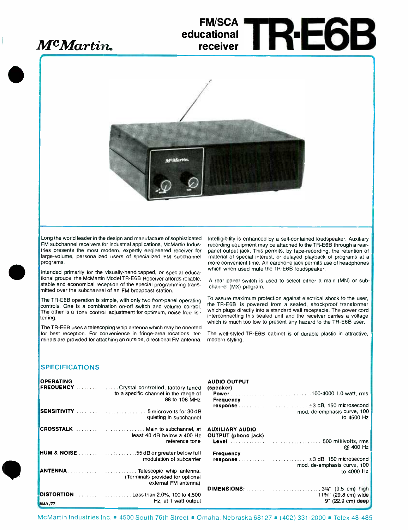## McMartin.

## **FM/SCA** educational RE6B receiver



Long the world leader in the design and manufacture of sophisticated FM subchannel receivers for industrial applications, McMartin Industries presents the most modern, expertly engineered receiver for large- volume, personalized users of specialized FM subchannel programs.

Intended primarily for the visually-handicapped, or special educational groups the McMartin ModelTR -E6B Receiver affords reliable, stable and economical reception of the special programming transmitted over the subchannel of an FM broadcast station.

The TR-E6B operation is simple, with only two front-panel operating controls. One is a combination on -off switch and volume control. The other is a tone control adjustment for optimum, noise free lis  $\cdot$ tening.

The TR-E6B uses a telescoping whip antenna which may be oriented for best reception. For convenience in fringe -area locations, terminals are provided for attaching an outside, directional FM antenna. Intelligibility is enhanced by a self- contained loudspeaker. Auxiliary recording equipment may be attached to the TR -E6B through a rear panel output jack. This permits, by tape-recording, the retention of material of special interest, or delayed playback of programs at a more convenient time. An earphone jack permits use of headphones which when used mute the TR -E6B loudspeaker.

A rear panel switch is used to select either a main (MN) or subchannel (MX) program.

To assure maximum protection against electrical shock to the user, the TR -E6B is powered from a sealed, shockproof transformer which plugs directly into a standard wall receptacle. The power cord interconnecting this sealed unit and the receiver carries a voltage which is much too low to present any hazard to the TR-E6B user.

The well-styled TR-E6B cabinet is of durable plastic in attractive, modern styling.

#### SPECIFICATIONS

| <b>OPERATING</b> | <b>FREQUENCY</b> Crystal controlled, factory tuned<br>to a specific channel in the range of<br>88 to 108 MHz<br>.5 microvolts for 30 dB | <b>AUDIO OUTPUT</b><br>(speaker)<br>Frequency                        | mod, de-emphasis curve, 100                                                                                                   |
|------------------|-----------------------------------------------------------------------------------------------------------------------------------------|----------------------------------------------------------------------|-------------------------------------------------------------------------------------------------------------------------------|
|                  | quieting in subchannel                                                                                                                  |                                                                      | to 4500 Hz                                                                                                                    |
|                  | <b>CROSSTALK</b> Main to subchannel, at<br>least 48 dB below a 400 Hz<br>reference tone                                                 | <b>AUXILIARY AUDIO</b><br><b>OUTPUT</b> (phono jack)<br><b>Level</b> | .500 millivolts, rms                                                                                                          |
|                  |                                                                                                                                         | Frequency                                                            | @ 400 Hz                                                                                                                      |
|                  | modulation of subcarrier                                                                                                                |                                                                      | response $\ldots \ldots \ldots$ $\ldots \ldots \ldots \ldots \ldots \pm 3$ dB, 150 microsecond<br>mod. de-emphasis curve, 100 |
|                  | <b>ANTENNA</b> Telescopic whip antenna.<br>(Terminals provided for optional<br>external FM antenna)                                     |                                                                      | to 4000 Hz                                                                                                                    |
|                  |                                                                                                                                         |                                                                      |                                                                                                                               |
| <b>MAY/77</b>    | <b>DISTORTION</b> $\ldots$ Less than 2.0%, 100 to 4,500<br>Hz, at 1 watt output                                                         |                                                                      | $11\frac{3}{4}$ " (29.8 cm) wide<br>9' (22.9 cm) deep                                                                         |

McMartin Industries Inc. 4500 South 76th Street . Omaha, Nebraska 68127 (402) 331-2000 = Telex 48-485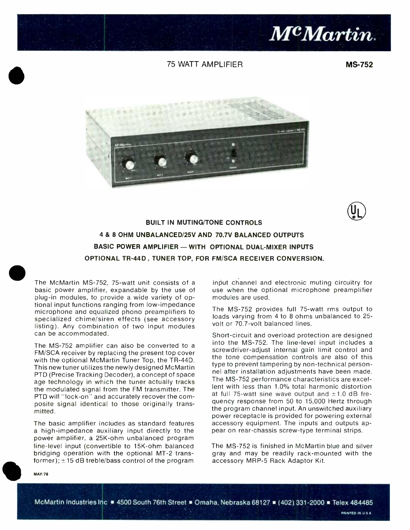

#### 75 WATT AMPLIFIER

MS-752





BUILT IN MUTING/TONE CONTROLS 4 & 8 OHM UNBALANCED/25V AND 70.7V BALANCED OUTPUTS BASIC POWER AMPLIFIER - WITH OPTIONAL DUAL-MIXER INPUTS OPTIONAL TR-44D. TUNER TOP, FOR FM/SCA RECEIVER CONVERSION.

The McMartin MS-752, 75-watt unit consists of a basic power amplifier, expandable by the use of plug -in modules, to provide a wide variety of optional input functions ranging from low-impedance microphone and equalized phono preamplifiers to specialized chime/siren effects (see accessory listing). Any combination of two input modules can be accommodated.

The MS-752 amplifier can also be converted to a FM/SCA receiver by replacing the present top cover with the optional McMartin Tuner Top, the TR-44D. This new tuner utilizes the newly designed McMartin PTD (Precise Tracking Decoder), a concept of space age technology in which the tuner actually tracks the modulated signal from the FM transmitter. The PTD will "lock -on" and accurately recover the composite signal identical to those originally transmitted.

The basic amplifier includes as standard features a high-impedance auxiliary input directly to the power amplifier, a 25K -ohm unbalanced program line -level input (convertible to 15K -ohm balanced bridging operation with the optional MT-2 transformer);  $\pm$  15 dB treble/bass control of the program input channel and electronic muting circuitry for use when the optional microphone preamplifier modules are used.

The MS-752 provides full 75-watt rms output to loads varying from 4 to 8 ohms unbalanced to 25 volt or 70.7 -volt balanced lines.

Short-circuit and overload protection are designed into the MS-752. The line-level input includes a screwdriver-adjust internal gain limit control and the tone compensation controls are also of this type to prevent tampering by non -technical personnel after installation adjustments have been made. The MS -752 performance characteristics are excellent with less than 1.0% total harmonic distortion at full 75-watt sine wave output and  $\pm 1.0$  dB frequency response from 50 to 15,000 Hertz through the program channel input. An unswitched auxiliary power receptacle is provided for powering external accessory equipment. The inputs and outputs appear on rear -chassis screw -type terminal strips.

The MS -752 is finished in McMartin blue and silver gray and may be readily rack -mounted with the accessory MRP -5 Rack Adaptor Kit.

MAY/78

McMartin Industries Inc = 4500 South 76th Street = Omaha, Nebraska 68127 = (402). 331-2000 = Telex 484485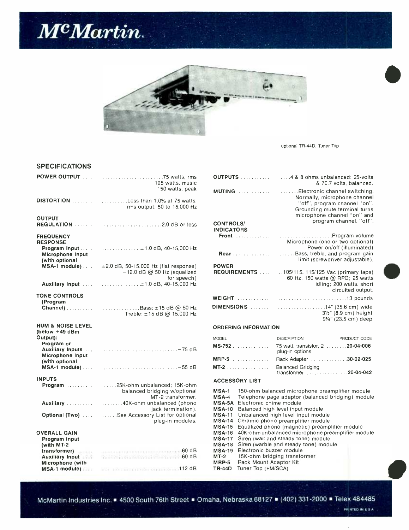



optional TR -44D. Tuner Top

#### SPECIFICATIONS

|                                                                                                                  | 105 watts, music<br>150 watts, peak                                                                                                                                                                                                  | OUTPUTS<br>MUTING                                                                    |
|------------------------------------------------------------------------------------------------------------------|--------------------------------------------------------------------------------------------------------------------------------------------------------------------------------------------------------------------------------------|--------------------------------------------------------------------------------------|
|                                                                                                                  | DISTORTION  Less than 1.0% at 75 watts,<br>rms output; 50 to 15,000 Hz                                                                                                                                                               |                                                                                      |
| <b>OUTPUT</b>                                                                                                    |                                                                                                                                                                                                                                      | <b>CONTROLS/</b><br><b>INDICATORS</b><br>Front                                       |
| <b>FREQUENCY</b><br><b>RESPONSE</b><br>Microphone Input<br>(with optional                                        |                                                                                                                                                                                                                                      | Rear                                                                                 |
| MSA-1 module)                                                                                                    | $\pm 2.0$ dB, 50-15,000 Hz (flat response)<br>$-12.0$ dB @ 50 Hz (equalized<br>for speech)                                                                                                                                           | <b>POWER</b><br><b>REQUIREMENTS</b>                                                  |
|                                                                                                                  |                                                                                                                                                                                                                                      |                                                                                      |
| <b>TONE CONTROLS</b><br>(Program                                                                                 | Treble: ±15 dB @ 15,000 Hz                                                                                                                                                                                                           | WEIGHT<br>DIMENSIONS                                                                 |
| <b>HUM &amp; NOISE LEVEL</b><br>(below $+49$ dBm<br>Output):<br>Program or<br>Microphone Input<br>(with optional |                                                                                                                                                                                                                                      | <b>ORDERING INFORE</b><br><b>MODEL</b><br>$MS-752$<br>MRP-5<br>MT-2                  |
| <b>INPUTS</b>                                                                                                    | Program  25K-ohm unbalanced; 15K-ohm<br>balanced bridging w/optional<br>MT-2 transformer.                                                                                                                                            | <b>ACCESSORY LIST</b><br>MSA-1<br>150-ohm<br>Telephor<br>$MSA-4$                     |
|                                                                                                                  | jack termination).                                                                                                                                                                                                                   | Electroni<br><b>MSA-5A</b><br>Balancec<br><b>MSA-10</b>                              |
|                                                                                                                  | Optional (Two)  See Accessory List for optional<br>plug-in modules.                                                                                                                                                                  | <b>MSA-11</b><br>Unbaland<br><b>MSA-14</b><br>Ceramic<br><b>MSA-15</b><br>Equalized  |
| <b>OVERALL GAIN</b><br>Program Input<br>(with MT-2)                                                              |                                                                                                                                                                                                                                      | 40K-ohm<br><b>MSA-16</b><br><b>MSA-17</b><br>Siren (wa<br><b>MSA-18</b><br>Siren (wa |
| <b>Auxiliary Input 1996</b><br>Microphone (with                                                                  | transformer) <b>Executive Contract Contract Contract Contract Contract Contract Contract Contract Contract Contract Contract Contract Contract Contract Contract Contract Contract Contract Contract Contract Contract Contract </b> | Electroni<br><b>MSA-19</b><br>15K-ohm<br>$MT-2$<br>Rack Mo<br>MRP-5<br>Tuner Top     |
|                                                                                                                  | MSA-1 module) and the contract of the state of 112 dB                                                                                                                                                                                | <b>TR-44D</b>                                                                        |

| tts, rms<br>, music                                           |                                                                                                                                                        | OUTPUTS                                                           |                                                                                                                                                                                                                                                                                                                                                                   | , 4 & 8 ohms unbalanced; 25-volts<br>& 70.7 volts, balanced.                                                                                                  |  |
|---------------------------------------------------------------|--------------------------------------------------------------------------------------------------------------------------------------------------------|-------------------------------------------------------------------|-------------------------------------------------------------------------------------------------------------------------------------------------------------------------------------------------------------------------------------------------------------------------------------------------------------------------------------------------------------------|---------------------------------------------------------------------------------------------------------------------------------------------------------------|--|
| s, peak<br>5 watts,<br>,000 Hz                                |                                                                                                                                                        |                                                                   |                                                                                                                                                                                                                                                                                                                                                                   | Electronic channel switching.<br>Normally, microphone channel<br>"off", program channel "on".<br>Grounding mute terminal turns<br>microphone channel "on" and |  |
| or less                                                       | <b>CONTROLS/</b><br><b>INDICATORS</b>                                                                                                                  |                                                                   |                                                                                                                                                                                                                                                                                                                                                                   | program channel, "off".                                                                                                                                       |  |
| .000 Hz                                                       |                                                                                                                                                        |                                                                   |                                                                                                                                                                                                                                                                                                                                                                   | Microphone (one or two optional)<br>Power on/off (illuminated)                                                                                                |  |
|                                                               |                                                                                                                                                        | Rear                                                              |                                                                                                                                                                                                                                                                                                                                                                   | Bass, treble, and program gain<br>limit (screwdriver adjustable).                                                                                             |  |
| ponse)<br>ualized<br>peech)<br>.000 Hz                        | <b>POWER</b>                                                                                                                                           | <b>REQUIREMENTS</b>                                               |                                                                                                                                                                                                                                                                                                                                                                   | 105/115, 115/125 Vac (primary taps)<br>60 Hz. 150 watts @ RPO; 25 watts<br>idling; 200 watts, short<br>circuited output.                                      |  |
|                                                               |                                                                                                                                                        |                                                                   |                                                                                                                                                                                                                                                                                                                                                                   |                                                                                                                                                               |  |
| จ 50 Hz<br>,000 Hz                                            |                                                                                                                                                        |                                                                   | DIMENSIONS  14" (35.6 cm) wide                                                                                                                                                                                                                                                                                                                                    | $3\frac{1}{2}$ " (8.9 cm) height<br>91/4" (23.5 cm) deep                                                                                                      |  |
|                                                               |                                                                                                                                                        | <b>ORDERING INFORMATION</b>                                       |                                                                                                                                                                                                                                                                                                                                                                   |                                                                                                                                                               |  |
|                                                               | <b>MODEL</b>                                                                                                                                           |                                                                   | <b>DESCRIPTION</b>                                                                                                                                                                                                                                                                                                                                                | PRODUCT CODE                                                                                                                                                  |  |
| -75 dB                                                        |                                                                                                                                                        | MS-752                                                            | 75 watt, transistor, 2 20-04-006<br>plug-in options                                                                                                                                                                                                                                                                                                               |                                                                                                                                                               |  |
|                                                               |                                                                                                                                                        | $MRP-5$                                                           | Rack Adapter 30-02-025                                                                                                                                                                                                                                                                                                                                            |                                                                                                                                                               |  |
| -55 dB                                                        |                                                                                                                                                        | MT-2                                                              | <b>Balanced Gridging</b><br>transformer 20-04-042                                                                                                                                                                                                                                                                                                                 |                                                                                                                                                               |  |
| 5K-ohm                                                        |                                                                                                                                                        | <b>ACCESSORY LIST</b>                                             |                                                                                                                                                                                                                                                                                                                                                                   |                                                                                                                                                               |  |
| ptional<br>former.<br>(phono<br>ation).<br>ptional<br>odules. | <b>MSA-1</b><br>MSA-4<br>MSA-5A<br><b>MSA-10</b><br><b>MSA-11</b><br><b>MSA-14</b><br><b>MSA-15</b><br><b>MSA-16</b><br><b>MSA-17</b><br><b>MSA-18</b> | Electronic chime module                                           | 150-ohm balanced microphone preamplifier module<br>Telephone page adaptor (balanced bridging) module<br>Balanced high level input module<br>Unbalanced high level input module<br>Ceramic phono preamplifier module<br>Equalized phono (magnetic) preamplifier module<br>40K-ohm unbalanced microphone preamplifier module<br>Siren (wail and steady tone) module |                                                                                                                                                               |  |
| .60dB                                                         | <b>MSA-19</b>                                                                                                                                          | Siren (warble and steady tone) module<br>Electronic buzzer module |                                                                                                                                                                                                                                                                                                                                                                   |                                                                                                                                                               |  |

McMartin Industries Inc. 4500 South 76th Street . Omaha, Nebraska 68127 (402) 331-2000 Telex 484485

MRP-5 Rack Mount Adaptor Kit TR-44D Tuner Top (FM/SCA)

15K -ohm bridging transformer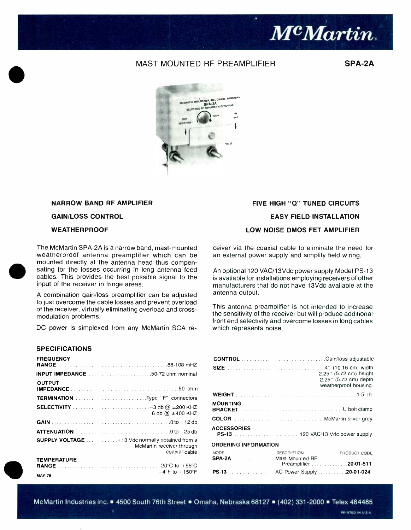

#### MAST MOUNTED RF PREAMPLIFIER

SPA-2A



#### NARROW BAND RF AMPLIFIER

#### **GAIN/LOSS CONTROL**

#### **WEATHERPROOF**

The McMartin SPA-2A is a narrow band, mast-mounted weatherproof antenna preamplifier which can be mounted directly at the antenna head thus compensating for the losses occurring in long antenna feed cables. This provides the best possible signal to the input of the receiver in fringe areas.

A combination gain/loss preamplifier can be adjusted to just overcome the cable losses and prevent overload of the receiver, virtually eliminating overload and cross modulation problems.

DC power is simplexed from any McMartin SCA re-

#### SPECIFICATIONS

| <b>FREQUENCY</b>                    |                                                                                                                                 |  |
|-------------------------------------|---------------------------------------------------------------------------------------------------------------------------------|--|
|                                     | <b>INPUT IMPEDANCE</b> 50-72 ohm nominal                                                                                        |  |
| <b>OUTPUT</b>                       |                                                                                                                                 |  |
|                                     | <b>TERMINATION</b> Type "F" connectors                                                                                          |  |
|                                     | SELECTIVITY $\ldots \ldots \ldots$ $\ldots \ldots \ldots \ldots \ldots \ldots -3$ db $@ \pm 200$ KHZ<br>$-6$ db @ $\pm$ 400 KHZ |  |
|                                     |                                                                                                                                 |  |
|                                     |                                                                                                                                 |  |
|                                     | SUPPLY VOLTAGE  +13 Vdc normally obtained from a<br>McMartin receiver through<br>coaxial cable                                  |  |
| <b>TEMPERATURE</b><br><b>MAY/78</b> | $-4$ °F to $+150$ °F                                                                                                            |  |

#### FIVE HIGH "Q" TUNED CIRCUITS

#### EASY FIELD INSTALLATION

#### LOW NOISE DMOS FET AMPLIFIER

ceiver via the coaxial cable to eliminate the need for an external power supply and simplify field wiring.

An optional 120 VAC/13Vdc power supply Model PS-13 is available for installations employing receivers of other manufacturers that do not have 13Vdc available at the antenna output.

This antenna preamplifier is not intended to increase the sensitivity of the receiver but will produce additional front end selectivity and overcome losses in long cables which represents noise.

|                                               | 2.25" (5.72 cm) height<br>2.25" (5.72 cm) depth<br>weatherproof housing. |
|-----------------------------------------------|--------------------------------------------------------------------------|
|                                               |                                                                          |
| <b>MOUNTING</b>                               |                                                                          |
|                                               |                                                                          |
| <b>ACCESSORIES</b>                            |                                                                          |
| <b>ORDERING INFORMATION</b>                   |                                                                          |
| <b>MODEL</b><br><b>SPA-2A</b> Mast Mounted RF | <b>DESCRIPTION</b><br>PRODUCT CODE<br>Preamplifier 20-01-511             |
| <b>PS-13</b>                                  | AC Power Supply 20-01-024                                                |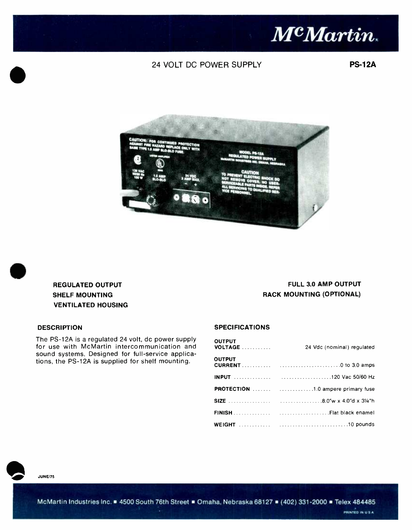

#### 24 VOLT DC POWER SUPPLY

PS-12A





#### REGULATED OUTPUT SHELF MOUNTING VENTILATED HOUSING

### FULL 3.0 AMP OUTPUT RACK MOUNTING (OPTIONAL)

The PS -12A is a regulated 24 volt, dc power supply for use with McMartin intercommunication and sound systems. Designed for full-service applications, the PS -12A is supplied for shelf mounting.

#### DESCRIPTION SPECIFICATIONS

| <b>OUTPUT</b> | 24 Vdc (nominal) requlated                |  |
|---------------|-------------------------------------------|--|
| <b>OUTPUT</b> |                                           |  |
|               |                                           |  |
|               | <b>PROTECTION</b> 1.0 ampere primary fuse |  |
|               |                                           |  |
|               |                                           |  |
|               |                                           |  |

JUNE/75

McMartin Industries Inc. 4500 South 76th Street . Omaha, Nebraska 68127 . (402) 331-2000 Telex 484485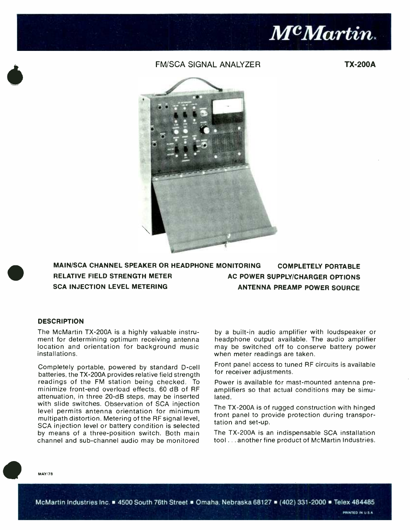

#### FM/SCA SIGNAL ANALYZER TX-200A



### MAIN /SCA CHANNEL SPEAKER OR HEADPHONE MONITORING COMPLETELY PORTABLE RELATIVE FIELD STRENGTH METER AC POWER SUPPLY/CHARGER OPTIONS SCA INJECTION LEVEL METERING ANTENNA PREAMP POWER SOURCE

#### **DESCRIPTION**

The McMartin TX-200A is a highly valuable instrument for determining optimum receiving antenna location and orientation for background music installations.

Completely portable, powered by standard D-cell batteries, the TX -200A provides relative field strength readings of the FM station being checked. To minimize front-end overload effects, 60 dB of RF attenuation, in three 20 -dB steps, may be inserted with slide switches. Observation of SCA injection level permits antenna orientation for minimum multipath distortion. Metering of the RF signal level, SCA injection level or battery condition is selected by means of a three -position switch. Both main channel and sub -channel audio may be monitored

by a built-in audio amplifier with loudspeaker or headphone output available. The audio amplifier may be switched off to conserve battery power when meter readings are taken.

Front panel access to tuned RF circuits is available for receiver adjustments.

Power is available for mast-mounted antenna preamplifiers so that actual conditions may be simulated.

The TX -200A is of rugged construction with hinged front panel to provide protection during transportation and set-up.

The TX -200A is an indispensable SCA installation tool ... another fine product of McMartin Industries.

**MAY/78** 

McMartin Industries Inc. 4500 South 76th Street . Omaha. Nebraska 68127 . (402) 331-2000 Telex 484485

PRINTED IN U.S.A.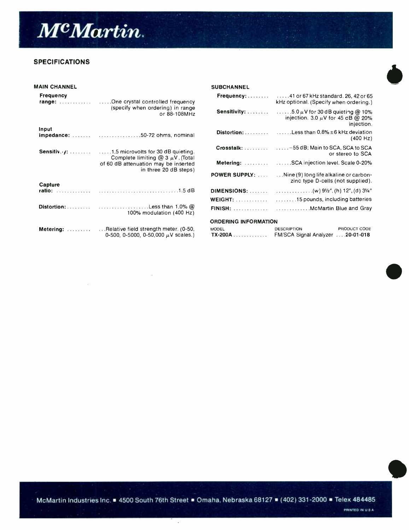

#### SPECIFICATIONS

| <b>MAIN CHANNEL</b> |                                                                                              | <b>SUBCHANNEL</b>           |                                                                                                                          |
|---------------------|----------------------------------------------------------------------------------------------|-----------------------------|--------------------------------------------------------------------------------------------------------------------------|
| <b>Frequency</b>    |                                                                                              |                             | <b>Frequency:</b> $\ldots \ldots$ $\ldots$ 41 or 67 kHz standard, 26, 42 or 65<br>kHz optional. (Specify when ordering.) |
|                     | (specify when ordering) in range<br>or 88-108MHz                                             |                             | injection. 3.0 $\mu$ V for 45 dB @ 20%<br>injection.                                                                     |
| Input               | impedance:  50-72 ohms, nominal                                                              |                             | <b>Distortion:</b> $\ldots$ $\ldots$ $\ldots$ . Less than 0.8% $\pm$ 6 kHz deviation<br>(400 Hz)                         |
|                     | Complete limiting @ 3 $\mu$ V. (Total                                                        |                             | or stereo to SCA                                                                                                         |
|                     | of 60 dB attenuation may be inserted<br>in three 20 dB steps)                                |                             | Metering:  SCA injection level. Scale 0-20%                                                                              |
|                     |                                                                                              | <b>POWER SUPPLY:</b>        | $\dots$ Nine (9) long life alkaline or carbon-<br>zinc type D-cells (not supplied).                                      |
| Capture             |                                                                                              |                             |                                                                                                                          |
|                     |                                                                                              |                             |                                                                                                                          |
|                     | 100% modulation (400 Hz)                                                                     |                             |                                                                                                                          |
|                     |                                                                                              | <b>ORDERING INFORMATION</b> |                                                                                                                          |
|                     | Metering:  Relative field strength meter. (0-50,<br>0-500, 0-5000, 0-50,000 $\mu$ V scales.) | <b>MODEL</b>                | PRODUCT CODE<br><b>DESCRIPTION</b><br>FM/SCA Signal Analyzer  20-01-018                                                  |
|                     |                                                                                              |                             |                                                                                                                          |

McMartin Industries Inc. 4500 South 76th Street . Omaha, Nebraska 68127 . (402) 331-2000 - Telex 484485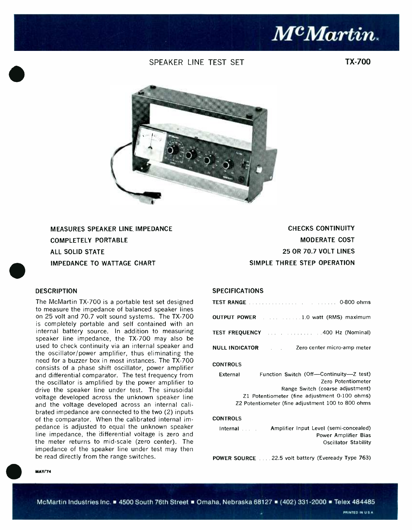## Mc Martin.

#### SPEAKER LINE TEST SET

TX-700



MEASURES SPEAKER LINE IMPEDANCE COMPLETELY PORTABLE ALL SOLID STATE IMPEDANCE TO WATTAGE CHART

#### **DESCRIPTION**

The McMartin TX -700 is a portable test set designed to measure the impedance of balanced speaker lines on 25 volt and 70.7 volt sound systems. The TX -700 is completely portable and self contained with an internal battery source. In addition to measuring speaker line impedance, the TX -700 may also be used to check continuity via an internal speaker and the oscillator/power amplifier, thus eliminating the need for a buzzer box in most instances. The TX -700 consists of a phase shift oscillator, power amplifier and differential comparator. The test frequency from the oscillator is amplified by the power amplifier to drive the speaker line under test. The sinusoidal voltage developed across the unknown speaker line and the voltage developed across an internal calibrated impedance are connected to the two (2) inputs of the comparator. When the calibrated internal impedance is adjusted to equal the unknown speaker line impedance, the differential voltage is zero and the meter returns to mid -scale (zero center). The impedance of the speaker line under test may then be read directly from the range switches.

CHECKS CONTINUITY MODERATE COST 25 OR 70.7 VOLT LINES SIMPLE THREE STEP OPERATION

#### **SPECIFICATIONS**

| <b>TEST RANGE <i>CONSTRANGE CONSTRANGE CONSTRANGE CONSTRANGE</i></b> |                             |
|----------------------------------------------------------------------|-----------------------------|
| <b>OUTPUT POWER</b> 1.0 watt (RMS) maximum                           |                             |
| <b>TEST FREQUENCY</b> 1.1 1.1 1.1 1.1 400 Hz (Nominal)               |                             |
| NULL INDICATOR                                                       | Zero center micro-amp meter |

#### **CONTROLS**

| External | Function Switch (Off---Continuity-Z test)         |  |
|----------|---------------------------------------------------|--|
|          | Zero Potentiometer                                |  |
|          | Range Switch (coarse adjustment)                  |  |
|          | Z1 Potentiometer (fine adjustment 0-100 ohms)     |  |
|          | Z2 Potentiometer (fine adjustment 100 to 800 ohms |  |

#### **CONTROLS**

Internal **Amplifier Input Level** (semi-concealed) Power Amplifier Bias Oscillator Stability

POWER SOURCE 22.5 volt battery (Eveready Type 763)

#### **MAY/'74**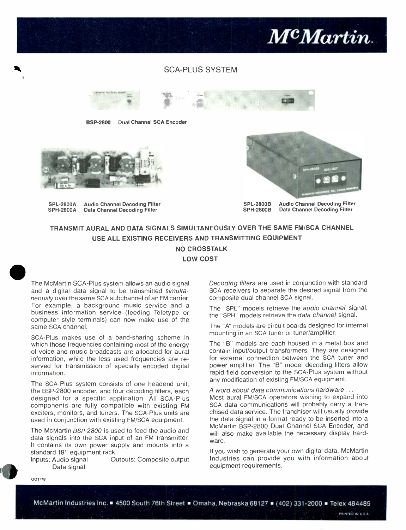#### SCA -PLUS SYSTEM



BSP-2800 Dual Channel SCA Encoder



SPL-2800A Audio Channel Decoding Filter<br>SPH-2800A Data Channel Decoding Filter Data Channel Decoding Filter



SPL-2800B Audio Channel Decoding Filter<br>SPH-2800B Data Channel Decoding Filter Data Channel Decoding Filter

McMartin.

#### TRANSMIT AURAL AND DATA SIGNALS SIMULTANEOUSLY OVER THE SAME FM/SCA CHANNEL USE ALL EXISTING RECEIVERS AND TRANSMITTING EQUIPMENT NO CROSSTALK LOW COST



The McMartin SCA-Plus system allows an audio signal and a digital data signal to be transmitted simultaneously over the same SCA subchannel of an FM carrier. For example, a background music service and a business information service (feeding Teletype or computer style terminals) can now make use of the same SCA channel.

SCA-Plus makes use of a band-sharing scheme in which those frequencies containing most of the energy of voice and music broadcasts are allocated for aural information, while the less used frequencies are reserved for transmission of specially encoded digital information.

The SCA-Plus system consists of one headend unit, the BSP-2800 encoder, and four decoding filters, each designed for a specific application. All SCA-Plus components are fully compatible with existing FM exciters, monitors, and tuners. The SCA -Plus units are used in conjunction with existing FM/SCA equipment.

The McMartin BSP-2800 is used to feed the audio and data signals into the SCA input of an FM transmitter. It contains its own power supply and mounts into a standard 19" equipment rack.

Inputs: Audio signal Outputs: Composite output Data signal

Decoding filters are used in conjunction with standard SCA receivers to separate the desired signal from the composite dual channel SCA signal.

The "SPL" models retrieve the audio channel signal, the "SPH" models retrieve the data channel signal.

The "A" models are circuit boards designed for internal mounting in an SCA tuner or tuner/amplifier.

The "B" models are each housed in a metal box and contain input/output transformers. They are designed for external connection between the SCA tuner and power amplifier. The "B" model decoding filters allow rapid field conversion to the SCA-Plus system without any modification of existing FM/SCA equipment.

A word about data communications hardware . . .

Most aural FM/SCA operators wishing to expand into SCA data communications will probably carry a franchised data service. The franchiser will usually provide the data signal in a format ready to be inserted into a McMartin BSP -2800 Dual Channel SCA Encoder, and will also make available the necessary display hardware.

If you wish to generate your own digital data, McMartin Industries can provide you with information about equipment requirements.

OCT/78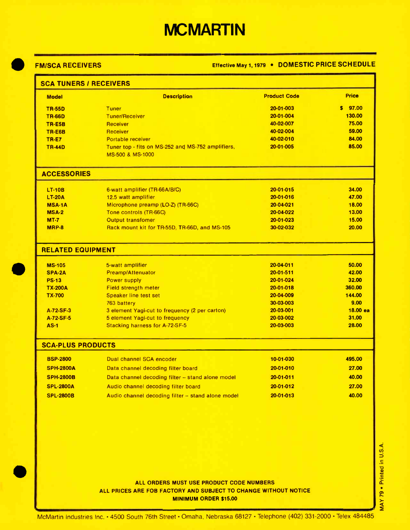## **MCMARTIN**

#### FM/SCA RECEIVERS Effective May 1, 1979 . DOMESTIC PRICE SCHEDULE

| <b>Model</b>             | <b>Description</b>                                                        | <b>Product Code</b>          | <b>Price</b>   |
|--------------------------|---------------------------------------------------------------------------|------------------------------|----------------|
| <b>TR-55D</b>            | <b>Tuner</b>                                                              | 20-01-003                    | \$97.00        |
| <b>TR-66D</b>            | <b>Tuner/Receiver</b>                                                     | 20-01-004                    | 130.00         |
| TR-E5B                   | Receiver                                                                  | 40-02-007                    | 75.00          |
| <b>TR-E6B</b>            | Receiver                                                                  | 40-02-004                    | 59.00          |
| <b>TR-E7</b>             | Portable receiver                                                         | 40-02-010                    | 84.00          |
| <b>TR-44D</b>            | Tuner top - fits on MS-252 and MS-752 amplifiers,<br>MS-500 & MS-1000     | 20-01-005                    | 85.00          |
| <b>ACCESSORIES</b>       |                                                                           |                              |                |
| <b>LT-10B</b>            | 6-watt amplifier (TR-66A/B/C)                                             | 20-01-015                    | 34.00          |
| <b>LT-20A</b>            | 12.5 watt amplifier                                                       | $20-01-016$                  | 47.00          |
| <b>MSA-1A</b>            | Microphone preamp (LO-Z) (TR-66C)                                         | 20-04-021                    | 18.00          |
| <b>MSA-2</b>             | Tone controls (TR-66C)                                                    | 20-04-022                    | 13.00          |
| $MT-7$<br>MRP-8          | <b>Output transfomer</b><br>Rack mount kit for TR-55D, TR-66D, and MS-105 | $20 - 01 - 023$<br>30-02-032 | 15.00<br>20.00 |
| <b>RELATED EQUIPMENT</b> |                                                                           |                              |                |
|                          |                                                                           |                              |                |
| <b>MS-105</b>            | 5-watt amplifier                                                          | 20-04-011                    | 50.00          |
| <b>SPA-2A</b>            | <b>Preamp/Attenuator</b>                                                  | $20-01-511$                  | 42.00          |
| <b>PS-13</b>             | <b>Power supply</b>                                                       | 20-01-024                    | 32.00          |
| <b>TX-200A</b>           | <b>Field strength meter</b>                                               | 20-01-018                    | 360.00         |
| <b>TX-700</b>            | <b>Speaker line test set</b>                                              | 20-04-009                    | 144.00         |
|                          | 763 battery                                                               | 30-03-003                    | 9.00           |
| A-72-SF-3                | 3 element Yagi-cut to frequency (2 per carton)                            | 20-03-001                    |                |
| A-72-SF-5<br>$AS-1$      | 5 element Yagi-cut to frequency<br><b>Stacking harness for A-72-SF-5</b>  | 20-03-002<br>20-03-003       | 31.00<br>28.00 |
| <b>SCA-PLUS PRODUCTS</b> |                                                                           |                              | $18.00$ ea     |
| <b>BSP-2800</b>          | Dual channel SCA encoder                                                  | 10-01-030                    | 495.00         |
| <b>SPH-2800A</b>         | Data channel decoding filter board                                        | 20-01-010                    | 27.00          |
| <b>SPH-2800B</b>         | Data channel decoding filter -- stand alone model                         | $20 - 01 - 011$              | 40.00          |
| <b>SPL-2800A</b>         | Audio channel decoding filter board                                       | 20-01-012                    | 27.00          |

MAY 79 . Printed in U.S.A.

ALL ORDERS MUST USE PRODUCT CODE NUMBERS ALL PRICES ARE FOB FACTORY AND SUBJECT TO CHANGE WITHOUT NOTICE MINIMUM ORDER \$15.00

McMartin Industries Inc. • 4500 South 76th Street • Omaha, Nebraska 68127 • Telephone (402) 331-2000 • Telex 484485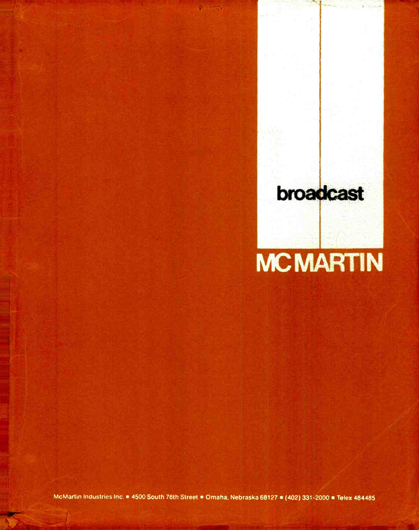# broadcast **MCMARTIN**

McMartin Industries Inc. 4500 South 76th Street . Omaha. Nebraska 68127 . (402) 331-2000 Telex 484485